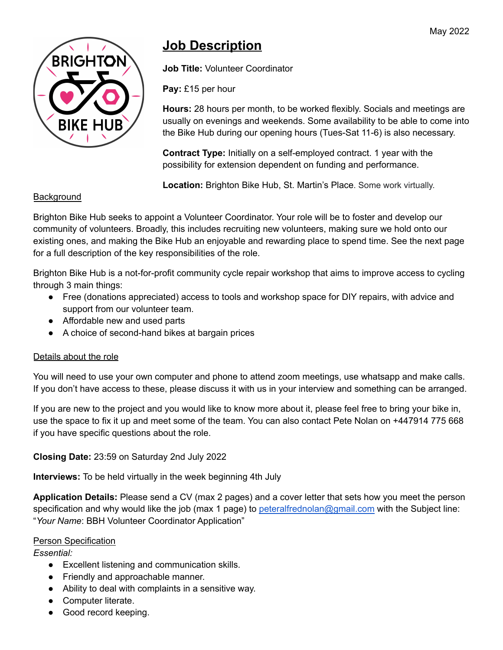

# **Job Description**

**Job Title:** Volunteer Coordinator

**Pay:** £15 per hour

**Hours:** 28 hours per month, to be worked flexibly. Socials and meetings are usually on evenings and weekends. Some availability to be able to come into the Bike Hub during our opening hours (Tues-Sat 11-6) is also necessary.

**Contract Type:** Initially on a self-employed contract. 1 year with the possibility for extension dependent on funding and performance.

**Location:** Brighton Bike Hub, St. Martin's Place. Some work virtually.

## Background

Brighton Bike Hub seeks to appoint a Volunteer Coordinator. Your role will be to foster and develop our community of volunteers. Broadly, this includes recruiting new volunteers, making sure we hold onto our existing ones, and making the Bike Hub an enjoyable and rewarding place to spend time. See the next page for a full description of the key responsibilities of the role.

Brighton Bike Hub is a not-for-profit community cycle repair workshop that aims to improve access to cycling through 3 main things:

- Free (donations appreciated) access to tools and workshop space for DIY repairs, with advice and support from our volunteer team.
- Affordable new and used parts
- A choice of second-hand bikes at bargain prices

## Details about the role

You will need to use your own computer and phone to attend zoom meetings, use whatsapp and make calls. If you don't have access to these, please discuss it with us in your interview and something can be arranged.

If you are new to the project and you would like to know more about it, please feel free to bring your bike in, use the space to fix it up and meet some of the team. You can also contact Pete Nolan on +447914 775 668 if you have specific questions about the role.

## **Closing Date:** 23:59 on Saturday 2nd July 2022

**Interviews:** To be held virtually in the week beginning 4th July

**Application Details:** Please send a CV (max 2 pages) and a cover letter that sets how you meet the person specification and why would like the job (max 1 page) to [peteralfrednolan@gmail.com](mailto:peteralfrednolan@gmail.com) with the Subject line: "*Your Name*: BBH Volunteer Coordinator Application"

## Person Specification

*Essential:*

- Excellent listening and communication skills.
- Friendly and approachable manner.
- Ability to deal with complaints in a sensitive way.
- Computer literate.
- Good record keeping.